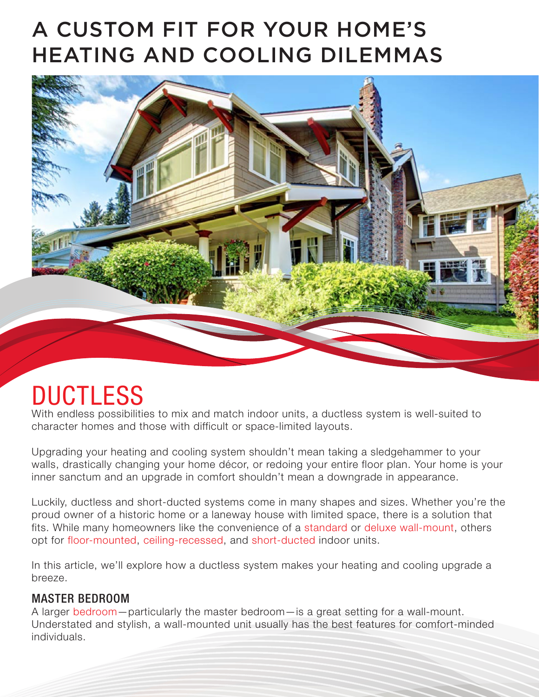## A CUSTOM FIT FOR YOUR HOME'S HEATING AND COOLING DILEMMAS



# **DUCTLESS**

With endless possibilities to mix and match indoor units, a ductless system is well-suited to character homes and those with difficult or space-limited layouts.

Upgrading your heating and cooling system shouldn't mean taking a sledgehammer to your walls, drastically changing your home décor, or redoing your entire floor plan. Your home is your inner sanctum and an upgrade in comfort shouldn't mean a downgrade in appearance.

Luckily, ductless and short-ducted systems come in many shapes and sizes. Whether you're the proud owner of a historic home or a laneway house with limited space, there is a solution that fits. While many homeowners like the convenience of a standard or deluxe wall-mount, others opt for floor-mounted, ceiling-recessed, and short-ducted indoor units.

In this article, we'll explore how a ductless system makes your heating and cooling upgrade a breeze.

#### MASTER BEDROOM

A larger bedroom—particularly the master bedroom—is a great setting for a wall-mount. Understated and stylish, a wall-mounted unit usually has the best features for comfort-minded individuals.